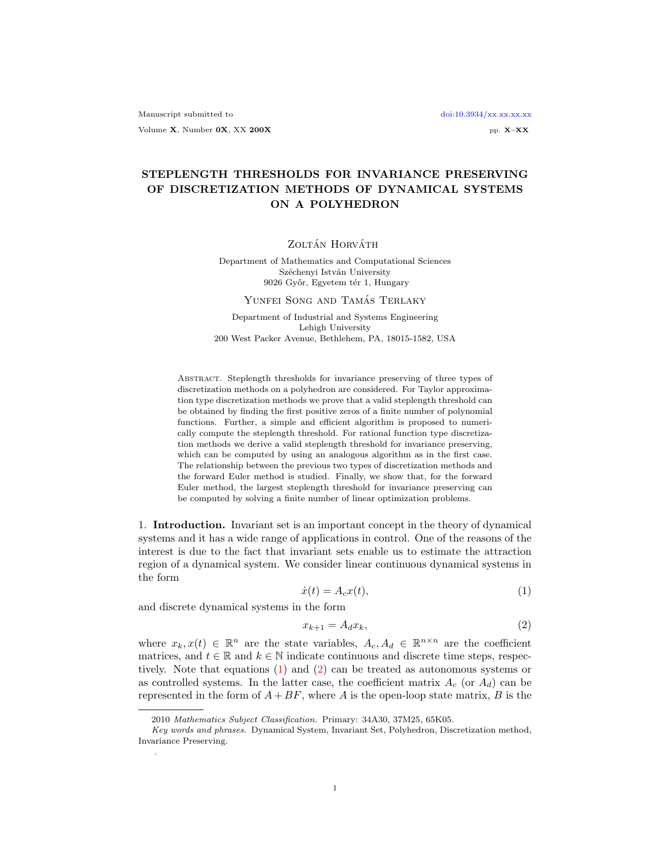# STEPLENGTH THRESHOLDS FOR INVARIANCE PRESERVING OF DISCRETIZATION METHODS OF DYNAMICAL SYSTEMS ON A POLYHEDRON

ZOLTÁN HORVÁTH

Department of Mathematics and Computational Sciences Széchenyi István University 9026 Győr, Egyetem tér 1, Hungary

#### YUNFEI SONG AND TAMÁS TERLAKY

Department of Industrial and Systems Engineering Lehigh University 200 West Packer Avenue, Bethlehem, PA, 18015-1582, USA

Abstract. Steplength thresholds for invariance preserving of three types of discretization methods on a polyhedron are considered. For Taylor approximation type discretization methods we prove that a valid steplength threshold can be obtained by finding the first positive zeros of a finite number of polynomial functions. Further, a simple and efficient algorithm is proposed to numerically compute the steplength threshold. For rational function type discretization methods we derive a valid steplength threshold for invariance preserving, which can be computed by using an analogous algorithm as in the first case. The relationship between the previous two types of discretization methods and the forward Euler method is studied. Finally, we show that, for the forward Euler method, the largest steplength threshold for invariance preserving can be computed by solving a finite number of linear optimization problems.

1. Introduction. Invariant set is an important concept in the theory of dynamical systems and it has a wide range of applications in control. One of the reasons of the interest is due to the fact that invariant sets enable us to estimate the attraction region of a dynamical system. We consider linear continuous dynamical systems in the form

<span id="page-0-0"></span>
$$
\dot{x}(t) = A_c x(t),\tag{1}
$$

and discrete dynamical systems in the form

.

<span id="page-0-1"></span>
$$
x_{k+1} = A_d x_k,\tag{2}
$$

where  $x_k, x(t) \in \mathbb{R}^n$  are the state variables,  $A_c, A_d \in \mathbb{R}^{n \times n}$  are the coefficient matrices, and  $t \in \mathbb{R}$  and  $k \in \mathbb{N}$  indicate continuous and discrete time steps, respectively. Note that equations [\(1\)](#page-0-0) and [\(2\)](#page-0-1) can be treated as autonomous systems or as controlled systems. In the latter case, the coefficient matrix  $A_c$  (or  $A_d$ ) can be represented in the form of  $A + BF$ , where A is the open-loop state matrix, B is the

<sup>2010</sup> Mathematics Subject Classification. Primary: 34A30, 37M25, 65K05.

Key words and phrases. Dynamical System, Invariant Set, Polyhedron, Discretization method, Invariance Preserving.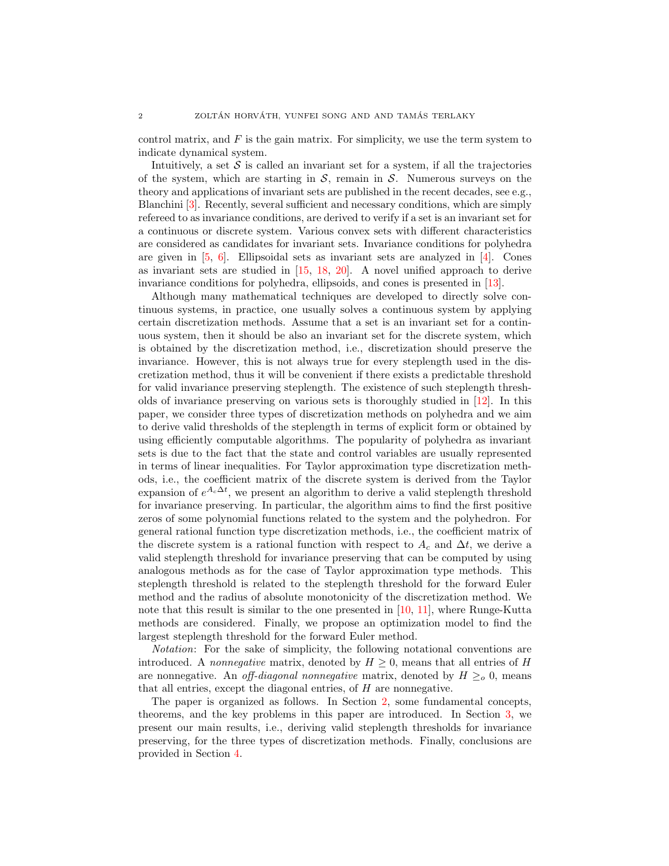control matrix, and  $F$  is the gain matrix. For simplicity, we use the term system to indicate dynamical system.

Intuitively, a set  $S$  is called an invariant set for a system, if all the trajectories of the system, which are starting in  $S$ , remain in  $S$ . Numerous surveys on the theory and applications of invariant sets are published in the recent decades, see e.g., Blanchini [\[3\]](#page-15-0). Recently, several sufficient and necessary conditions, which are simply refereed to as invariance conditions, are derived to verify if a set is an invariant set for a continuous or discrete system. Various convex sets with different characteristics are considered as candidates for invariant sets. Invariance conditions for polyhedra are given in [\[5,](#page-15-1) [6\]](#page-15-2). Ellipsoidal sets as invariant sets are analyzed in [\[4\]](#page-15-3). Cones as invariant sets are studied in [\[15,](#page-15-4) [18,](#page-15-5) [20\]](#page-15-6). A novel unified approach to derive invariance conditions for polyhedra, ellipsoids, and cones is presented in [\[13\]](#page-15-7).

Although many mathematical techniques are developed to directly solve continuous systems, in practice, one usually solves a continuous system by applying certain discretization methods. Assume that a set is an invariant set for a continuous system, then it should be also an invariant set for the discrete system, which is obtained by the discretization method, i.e., discretization should preserve the invariance. However, this is not always true for every steplength used in the discretization method, thus it will be convenient if there exists a predictable threshold for valid invariance preserving steplength. The existence of such steplength thresholds of invariance preserving on various sets is thoroughly studied in [\[12\]](#page-15-8). In this paper, we consider three types of discretization methods on polyhedra and we aim to derive valid thresholds of the steplength in terms of explicit form or obtained by using efficiently computable algorithms. The popularity of polyhedra as invariant sets is due to the fact that the state and control variables are usually represented in terms of linear inequalities. For Taylor approximation type discretization methods, i.e., the coefficient matrix of the discrete system is derived from the Taylor expansion of  $e^{A_c \Delta t}$ , we present an algorithm to derive a valid steplength threshold for invariance preserving. In particular, the algorithm aims to find the first positive zeros of some polynomial functions related to the system and the polyhedron. For general rational function type discretization methods, i.e., the coefficient matrix of the discrete system is a rational function with respect to  $A_c$  and  $\Delta t$ , we derive a valid steplength threshold for invariance preserving that can be computed by using analogous methods as for the case of Taylor approximation type methods. This steplength threshold is related to the steplength threshold for the forward Euler method and the radius of absolute monotonicity of the discretization method. We note that this result is similar to the one presented in [\[10,](#page-15-9) [11\]](#page-15-10), where Runge-Kutta methods are considered. Finally, we propose an optimization model to find the largest steplength threshold for the forward Euler method.

Notation: For the sake of simplicity, the following notational conventions are introduced. A nonnegative matrix, denoted by  $H \geq 0$ , means that all entries of H are nonnegative. An *off-diagonal nonnegative* matrix, denoted by  $H \geq_0 0$ , means that all entries, except the diagonal entries, of H are nonnegative.

<span id="page-1-0"></span>The paper is organized as follows. In Section [2,](#page-1-0) some fundamental concepts, theorems, and the key problems in this paper are introduced. In Section [3,](#page-3-0) we present our main results, i.e., deriving valid steplength thresholds for invariance preserving, for the three types of discretization methods. Finally, conclusions are provided in Section [4.](#page-14-0)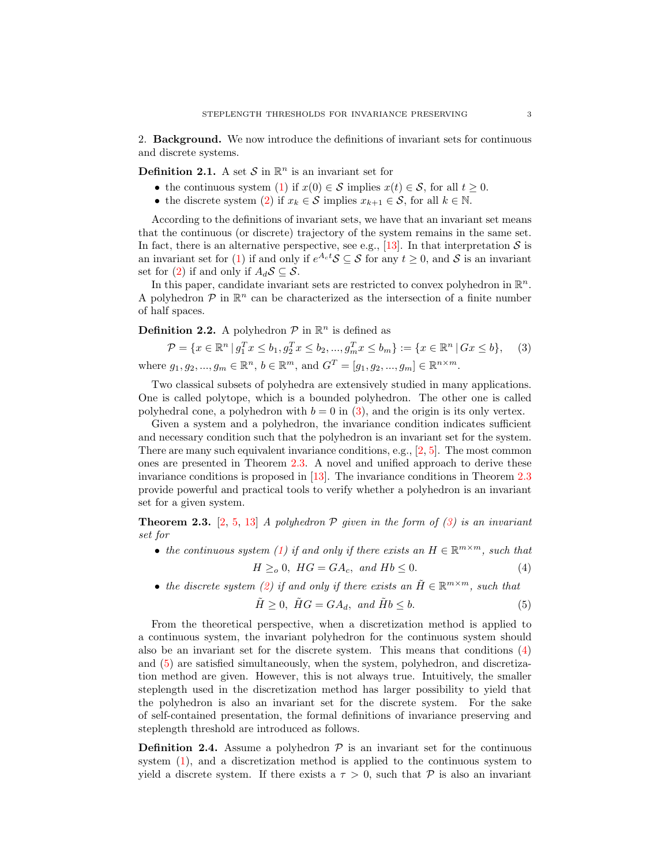2. Background. We now introduce the definitions of invariant sets for continuous and discrete systems.

**Definition 2.1.** A set S in  $\mathbb{R}^n$  is an invariant set for

- the continuous system [\(1\)](#page-0-0) if  $x(0) \in S$  implies  $x(t) \in S$ , for all  $t \geq 0$ .
- the discrete system [\(2\)](#page-0-1) if  $x_k \in \mathcal{S}$  implies  $x_{k+1} \in \mathcal{S}$ , for all  $k \in \mathbb{N}$ .

According to the definitions of invariant sets, we have that an invariant set means that the continuous (or discrete) trajectory of the system remains in the same set. In fact, there is an alternative perspective, see e.g., [\[13\]](#page-15-7). In that interpretation  $S$  is an invariant set for [\(1\)](#page-0-0) if and only if  $e^{A_c t} S \subseteq S$  for any  $t \geq 0$ , and S is an invariant set for [\(2\)](#page-0-1) if and only if  $A_dS\subset S$ .

In this paper, candidate invariant sets are restricted to convex polyhedron in  $\mathbb{R}^n$ . A polyhedron  $P$  in  $\mathbb{R}^n$  can be characterized as the intersection of a finite number of half spaces.

## **Definition 2.2.** A polyhedron  $P$  in  $\mathbb{R}^n$  is defined as

<span id="page-2-0"></span>
$$
\mathcal{P} = \{x \in \mathbb{R}^n \mid g_1^T x \le b_1, g_2^T x \le b_2, ..., g_m^T x \le b_m\} := \{x \in \mathbb{R}^n \mid Gx \le b\},\tag{3}
$$
  
where  $g_1, g_2, ..., g_m \in \mathbb{R}^n$ ,  $b \in \mathbb{R}^m$ , and  $G^T = [g_1, g_2, ..., g_m] \in \mathbb{R}^{n \times m}$ .

Two classical subsets of polyhedra are extensively studied in many applications. One is called polytope, which is a bounded polyhedron. The other one is called polyhedral cone, a polyhedron with  $b = 0$  in [\(3\)](#page-2-0), and the origin is its only vertex.

Given a system and a polyhedron, the invariance condition indicates sufficient and necessary condition such that the polyhedron is an invariant set for the system. There are many such equivalent invariance conditions, e.g.,  $[2, 5]$  $[2, 5]$  $[2, 5]$ . The most common ones are presented in Theorem [2.3.](#page-2-1) A novel and unified approach to derive these invariance conditions is proposed in [\[13\]](#page-15-7). The invariance conditions in Theorem [2.3](#page-2-1) provide powerful and practical tools to verify whether a polyhedron is an invariant set for a given system.

<span id="page-2-1"></span>**Theorem 2.3.** [\[2,](#page-15-11) [5,](#page-15-1) [13\]](#page-15-7) A polyhedron P given in the form of  $(3)$  is an invariant set for

• the continuous system [\(1\)](#page-0-0) if and only if there exists an  $H \in \mathbb{R}^{m \times m}$ , such that

<span id="page-2-2"></span>
$$
H \geq_o 0, \ HG = GA_c, \ and \ Hb \leq 0. \tag{4}
$$

• the discrete system [\(2\)](#page-0-1) if and only if there exists an  $\tilde{H} \in \mathbb{R}^{m \times m}$ , such that

<span id="page-2-3"></span>
$$
\tilde{H} \ge 0, \ \tilde{H}G = GA_d, \ and \ \tilde{H}b \le b.
$$
\n<sup>(5)</sup>

From the theoretical perspective, when a discretization method is applied to a continuous system, the invariant polyhedron for the continuous system should also be an invariant set for the discrete system. This means that conditions [\(4\)](#page-2-2) and [\(5\)](#page-2-3) are satisfied simultaneously, when the system, polyhedron, and discretization method are given. However, this is not always true. Intuitively, the smaller steplength used in the discretization method has larger possibility to yield that the polyhedron is also an invariant set for the discrete system. For the sake of self-contained presentation, the formal definitions of invariance preserving and steplength threshold are introduced as follows.

<span id="page-2-4"></span>**Definition 2.4.** Assume a polyhedron  $\mathcal{P}$  is an invariant set for the continuous system [\(1\)](#page-0-0), and a discretization method is applied to the continuous system to yield a discrete system. If there exists a  $\tau > 0$ , such that P is also an invariant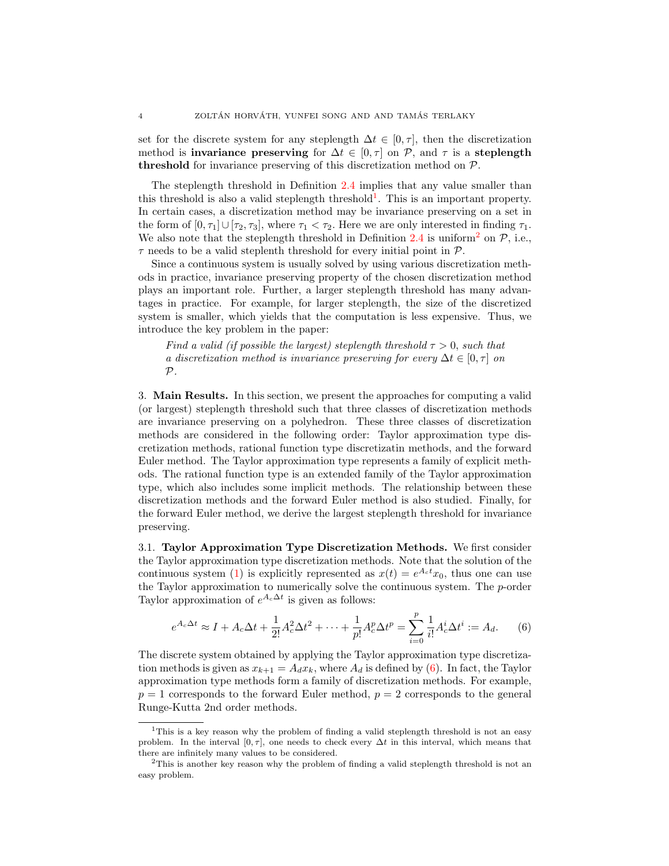set for the discrete system for any steplength  $\Delta t \in [0, \tau]$ , then the discretization method is **invariance preserving** for  $\Delta t \in [0, \tau]$  on P, and  $\tau$  is a **steplength** threshold for invariance preserving of this discretization method on  $P$ .

The steplength threshold in Definition [2.4](#page-2-4) implies that any value smaller than this threshold is also a valid steplength threshold<sup>[1](#page-3-1)</sup>. This is an important property. In certain cases, a discretization method may be invariance preserving on a set in the form of  $[0, \tau_1] \cup [\tau_2, \tau_3]$ , where  $\tau_1 < \tau_2$ . Here we are only interested in finding  $\tau_1$ . We also note that the steplength threshold in Definition [2.4](#page-2-4) is uniform<sup>[2](#page-3-2)</sup> on  $P$ , i.e.,  $\tau$  needs to be a valid steplenth threshold for every initial point in  $\mathcal{P}$ .

Since a continuous system is usually solved by using various discretization methods in practice, invariance preserving property of the chosen discretization method plays an important role. Further, a larger steplength threshold has many advantages in practice. For example, for larger steplength, the size of the discretized system is smaller, which yields that the computation is less expensive. Thus, we introduce the key problem in the paper:

Find a valid (if possible the largest) steplength threshold  $\tau > 0$ , such that a discretization method is invariance preserving for every  $\Delta t \in [0, \tau]$  on  $\mathcal{P}$ .

<span id="page-3-0"></span>3. Main Results. In this section, we present the approaches for computing a valid (or largest) steplength threshold such that three classes of discretization methods are invariance preserving on a polyhedron. These three classes of discretization methods are considered in the following order: Taylor approximation type discretization methods, rational function type discretizatin methods, and the forward Euler method. The Taylor approximation type represents a family of explicit methods. The rational function type is an extended family of the Taylor approximation type, which also includes some implicit methods. The relationship between these discretization methods and the forward Euler method is also studied. Finally, for the forward Euler method, we derive the largest steplength threshold for invariance preserving.

3.1. Taylor Approximation Type Discretization Methods. We first consider the Taylor approximation type discretization methods. Note that the solution of the continuous system [\(1\)](#page-0-0) is explicitly represented as  $x(t) = e^{A_c t} x_0$ , thus one can use the Taylor approximation to numerically solve the continuous system. The  $p$ -order Taylor approximation of  $e^{A_c \Delta t}$  is given as follows:

<span id="page-3-3"></span>
$$
e^{A_c \Delta t} \approx I + A_c \Delta t + \frac{1}{2!} A_c^2 \Delta t^2 + \dots + \frac{1}{p!} A_c^p \Delta t^p = \sum_{i=0}^p \frac{1}{i!} A_c^i \Delta t^i := A_d.
$$
 (6)

The discrete system obtained by applying the Taylor approximation type discretization methods is given as  $x_{k+1} = A_d x_k$ , where  $A_d$  is defined by [\(6\)](#page-3-3). In fact, the Taylor approximation type methods form a family of discretization methods. For example,  $p = 1$  corresponds to the forward Euler method,  $p = 2$  corresponds to the general Runge-Kutta 2nd order methods.

<span id="page-3-1"></span><sup>1</sup>This is a key reason why the problem of finding a valid steplength threshold is not an easy problem. In the interval  $[0, \tau]$ , one needs to check every  $\Delta t$  in this interval, which means that there are infinitely many values to be considered.

<span id="page-3-2"></span><sup>2</sup>This is another key reason why the problem of finding a valid steplength threshold is not an easy problem.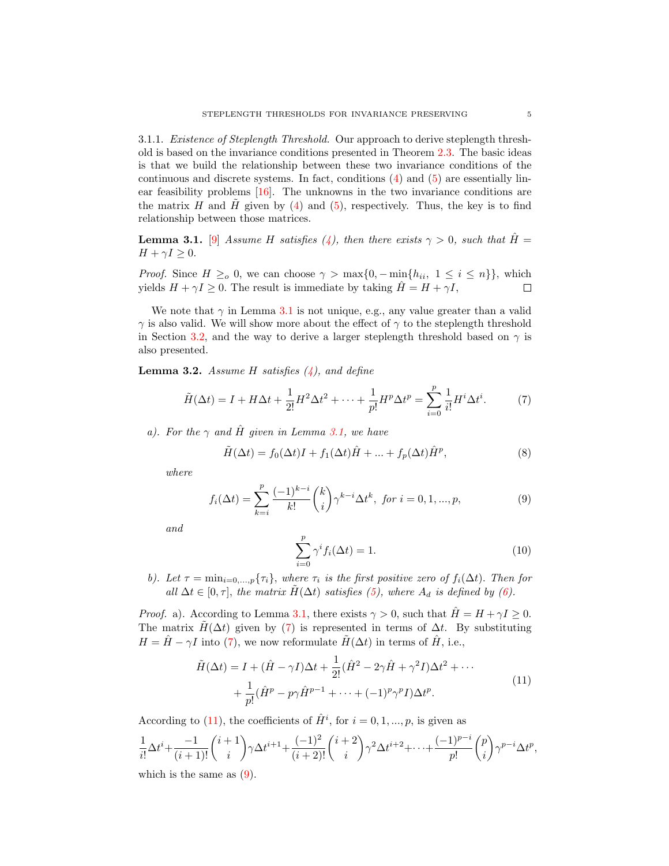3.1.1. Existence of Steplength Threshold. Our approach to derive steplength threshold is based on the invariance conditions presented in Theorem [2.3.](#page-2-1) The basic ideas is that we build the relationship between these two invariance conditions of the continuous and discrete systems. In fact, conditions [\(4\)](#page-2-2) and [\(5\)](#page-2-3) are essentially linear feasibility problems [\[16\]](#page-15-12). The unknowns in the two invariance conditions are the matrix  $H$  and  $H$  given by [\(4\)](#page-2-2) and [\(5\)](#page-2-3), respectively. Thus, the key is to find relationship between those matrices.

<span id="page-4-0"></span>**Lemma 3.1.** [\[9\]](#page-15-13) Assume H satisfies [\(4\)](#page-2-2), then there exists  $\gamma > 0$ , such that  $\hat{H} =$  $H + \gamma I \geq 0.$ 

*Proof.* Since  $H \geq_o 0$ , we can choose  $\gamma > \max\{0, -\min\{h_{ii}, 1 \le i \le n\}\}\$ , which yields  $H + \gamma I \geq 0$ . The result is immediate by taking  $\hat{H} = H + \gamma I$ ,  $\Box$ 

We note that  $\gamma$  in Lemma [3.1](#page-4-0) is not unique, e.g., any value greater than a valid  $\gamma$  is also valid. We will show more about the effect of  $\gamma$  to the steplength threshold in Section [3.2,](#page-9-0) and the way to derive a larger steplength threshold based on  $\gamma$  is also presented.

<span id="page-4-6"></span>**Lemma 3.2.** Assume H satisfies  $(4)$ , and define

<span id="page-4-1"></span>
$$
\tilde{H}(\Delta t) = I + H\Delta t + \frac{1}{2!}H^2\Delta t^2 + \dots + \frac{1}{p!}H^p\Delta t^p = \sum_{i=0}^p \frac{1}{i!}H^i\Delta t^i.
$$
 (7)

a). For the  $\gamma$  and  $\hat{H}$  given in Lemma [3.1,](#page-4-0) we have

<span id="page-4-4"></span>
$$
\tilde{H}(\Delta t) = f_0(\Delta t)I + f_1(\Delta t)\hat{H} + \dots + f_p(\Delta t)\hat{H}^p,
$$
\n(8)

where

<span id="page-4-3"></span>
$$
f_i(\Delta t) = \sum_{k=i}^{p} \frac{(-1)^{k-i}}{k!} {k \choose i} \gamma^{k-i} \Delta t^k, \text{ for } i = 0, 1, ..., p,
$$
 (9)

and

<span id="page-4-5"></span>
$$
\sum_{i=0}^{p} \gamma^i f_i(\Delta t) = 1.
$$
\n(10)

b). Let  $\tau = \min_{i=0,\dots,p} \{\tau_i\}$ , where  $\tau_i$  is the first positive zero of  $f_i(\Delta t)$ . Then for all  $\Delta t \in [0, \tau]$ , the matrix  $H(\Delta t)$  satisfies [\(5\)](#page-2-3), where  $A_d$  is defined by [\(6\)](#page-3-3).

*Proof.* a). According to Lemma [3.1,](#page-4-0) there exists  $\gamma > 0$ , such that  $\hat{H} = H + \gamma I \geq 0$ . The matrix  $H(\Delta t)$  given by [\(7\)](#page-4-1) is represented in terms of  $\Delta t$ . By substituting  $H = \hat{H} - \gamma I$  into [\(7\)](#page-4-1), we now reformulate  $\tilde{H}(\Delta t)$  in terms of  $\hat{H}$ , i.e.,

$$
\tilde{H}(\Delta t) = I + (\hat{H} - \gamma I)\Delta t + \frac{1}{2!}(\hat{H}^2 - 2\gamma \hat{H} + \gamma^2 I)\Delta t^2 + \cdots
$$
\n
$$
+ \frac{1}{p!}(\hat{H}^p - p\gamma \hat{H}^{p-1} + \cdots + (-1)^p \gamma^p I)\Delta t^p.
$$
\n(11)

<span id="page-4-2"></span>According to [\(11\)](#page-4-2), the coefficients of  $\hat{H}^i$ , for  $i = 0, 1, ..., p$ , is given as

$$
\frac{1}{i!} \Delta t^{i} + \frac{-1}{(i+1)!} {i+1 \choose i} \gamma \Delta t^{i+1} + \frac{(-1)^{2}}{(i+2)!} {i+2 \choose i} \gamma^{2} \Delta t^{i+2} + \dots + \frac{(-1)^{p-i}}{p!} {p \choose i} \gamma^{p-i} \Delta t^{p},
$$
\nwhich is the same as (9)

which is the same as  $(9)$ .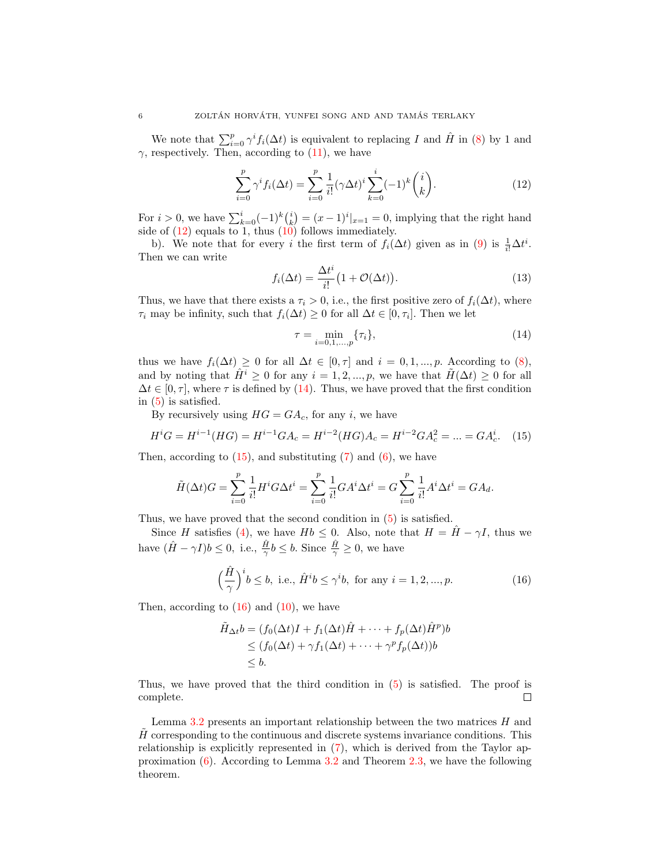We note that  $\sum_{i=0}^{p} \gamma^{i} f_i(\Delta t)$  is equivalent to replacing I and  $\hat{H}$  in [\(8\)](#page-4-4) by 1 and  $\gamma$ , respectively. Then, according to [\(11\)](#page-4-2), we have

<span id="page-5-0"></span>
$$
\sum_{i=0}^{p} \gamma^{i} f_{i}(\Delta t) = \sum_{i=0}^{p} \frac{1}{i!} (\gamma \Delta t)^{i} \sum_{k=0}^{i} (-1)^{k} {i \choose k}.
$$
 (12)

For  $i > 0$ , we have  $\sum_{k=0}^{i} (-1)^k {i \choose k} = (x-1)^i |_{x=1} = 0$ , implying that the right hand side of  $(12)$  equals to 1, thus  $(10)$  follows immediately.

b). We note that for every i the first term of  $f_i(\Delta t)$  given as in [\(9\)](#page-4-3) is  $\frac{1}{i!}\Delta t^i$ . Then we can write

<span id="page-5-4"></span>
$$
f_i(\Delta t) = \frac{\Delta t^i}{i!} \left( 1 + \mathcal{O}(\Delta t) \right). \tag{13}
$$

Thus, we have that there exists a  $\tau_i > 0$ , i.e., the first positive zero of  $f_i(\Delta t)$ , where  $\tau_i$  may be infinity, such that  $f_i(\Delta t) \geq 0$  for all  $\Delta t \in [0, \tau_i]$ . Then we let

<span id="page-5-1"></span>
$$
\tau = \min_{i=0,1,\dots,p} \{\tau_i\},\tag{14}
$$

thus we have  $f_i(\Delta t) \geq 0$  for all  $\Delta t \in [0, \tau]$  and  $i = 0, 1, ..., p$ . According to [\(8\)](#page-4-4), and by noting that  $\hat{H}^i \geq 0$  for any  $i = 1, 2, ..., p$ , we have that  $\tilde{H}(\Delta t) \geq 0$  for all  $\Delta t \in [0, \tau]$ , where  $\tau$  is defined by [\(14\)](#page-5-1). Thus, we have proved that the first condition in [\(5\)](#page-2-3) is satisfied.

By recursively using  $HG = GA_c$ , for any *i*, we have

<span id="page-5-2"></span>
$$
H^{i}G = H^{i-1}(HG) = H^{i-1}GA_c = H^{i-2}(HG)A_c = H^{i-2}GA_c^2 = \dots = GA_c^i.
$$
 (15)

Then, according to  $(15)$ , and substituting  $(7)$  and  $(6)$ , we have

$$
\tilde{H}(\Delta t)G = \sum_{i=0}^{p} \frac{1}{i!} H^{i} G \Delta t^{i} = \sum_{i=0}^{p} \frac{1}{i!} G A^{i} \Delta t^{i} = G \sum_{i=0}^{p} \frac{1}{i!} A^{i} \Delta t^{i} = G A_{d}.
$$

Thus, we have proved that the second condition in [\(5\)](#page-2-3) is satisfied.

Since H satisfies [\(4\)](#page-2-2), we have  $Hb \leq 0$ . Also, note that  $H = \hat{H} - \gamma I$ , thus we have  $(\hat{H} - \gamma I)b \leq 0$ , i.e.,  $\frac{\hat{H}}{\gamma}b \leq b$ . Since  $\frac{\hat{H}}{\gamma} \geq 0$ , we have

<span id="page-5-3"></span>
$$
\left(\frac{\hat{H}}{\gamma}\right)^i b \le b, \text{ i.e., } \hat{H}^i b \le \gamma^i b, \text{ for any } i = 1, 2, ..., p. \tag{16}
$$

Then, according to  $(16)$  and  $(10)$ , we have

$$
\tilde{H}_{\Delta t}b = (f_0(\Delta t)I + f_1(\Delta t)\hat{H} + \dots + f_p(\Delta t)\hat{H}^p)b
$$
\n
$$
\leq (f_0(\Delta t) + \gamma f_1(\Delta t) + \dots + \gamma^p f_p(\Delta t))b
$$
\n
$$
\leq b.
$$

Thus, we have proved that the third condition in [\(5\)](#page-2-3) is satisfied. The proof is complete.  $\Box$ 

Lemma [3.2](#page-4-6) presents an important relationship between the two matrices  $H$  and  $H$  corresponding to the continuous and discrete systems invariance conditions. This relationship is explicitly represented in [\(7\)](#page-4-1), which is derived from the Taylor approximation [\(6\)](#page-3-3). According to Lemma [3.2](#page-4-6) and Theorem [2.3,](#page-2-1) we have the following theorem.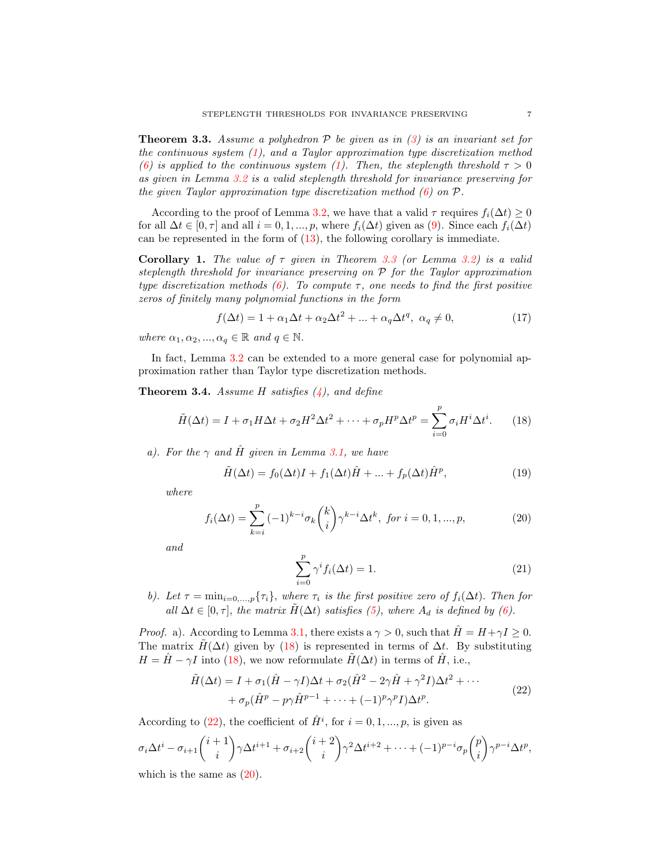<span id="page-6-0"></span>**Theorem 3.3.** Assume a polyhedron  $P$  be given as in [\(3\)](#page-2-0) is an invariant set for the continuous system  $(1)$ , and a Taylor approximation type discretization method [\(6\)](#page-3-3) is applied to the continuous system [\(1\)](#page-0-0). Then, the steplength threshold  $\tau > 0$ as given in Lemma [3.2](#page-4-6) is a valid steplength threshold for invariance preserving for the given Taylor approximation type discretization method  $(6)$  on  $P$ .

According to the proof of Lemma [3.2,](#page-4-6) we have that a valid  $\tau$  requires  $f_i(\Delta t) \geq 0$ for all  $\Delta t \in [0, \tau]$  and all  $i = 0, 1, ..., p$ , where  $f_i(\Delta t)$  given as [\(9\)](#page-4-3). Since each  $f_i(\Delta t)$ can be represented in the form of  $(13)$ , the following corollary is immediate.

**Corollary 1.** The value of  $\tau$  given in Theorem [3.3](#page-6-0) (or Lemma [3.2\)](#page-4-6) is a valid steplength threshold for invariance preserving on P for the Taylor approximation type discretization methods [\(6\)](#page-3-3). To compute  $\tau$ , one needs to find the first positive zeros of finitely many polynomial functions in the form

<span id="page-6-6"></span>
$$
f(\Delta t) = 1 + \alpha_1 \Delta t + \alpha_2 \Delta t^2 + \dots + \alpha_q \Delta t^q, \ \alpha_q \neq 0,
$$
 (17)

where  $\alpha_1, \alpha_2, ..., \alpha_q \in \mathbb{R}$  and  $q \in \mathbb{N}$ .

In fact, Lemma  $3.2$  can be extended to a more general case for polynomial approximation rather than Taylor type discretization methods.

**Theorem 3.4.** Assume H satisfies  $(4)$ , and define

<span id="page-6-1"></span>
$$
\tilde{H}(\Delta t) = I + \sigma_1 H \Delta t + \sigma_2 H^2 \Delta t^2 + \dots + \sigma_p H^p \Delta t^p = \sum_{i=0}^p \sigma_i H^i \Delta t^i.
$$
 (18)

a). For the  $\gamma$  and  $\hat{H}$  given in Lemma [3.1,](#page-4-0) we have

<span id="page-6-4"></span>
$$
\tilde{H}(\Delta t) = f_0(\Delta t)I + f_1(\Delta t)\hat{H} + \dots + f_p(\Delta t)\hat{H}^p,
$$
\n(19)

where

<span id="page-6-3"></span>
$$
f_i(\Delta t) = \sum_{k=i}^p (-1)^{k-i} \sigma_k \binom{k}{i} \gamma^{k-i} \Delta t^k, \text{ for } i = 0, 1, ..., p,
$$
 (20)

and

<span id="page-6-5"></span>
$$
\sum_{i=0}^{p} \gamma^{i} f_{i}(\Delta t) = 1.
$$
\n(21)

b). Let  $\tau = \min_{i=0,\dots,p} \{\tau_i\}$ , where  $\tau_i$  is the first positive zero of  $f_i(\Delta t)$ . Then for all  $\Delta t \in [0, \tau]$ , the matrix  $\tilde{H}(\Delta t)$  satisfies [\(5\)](#page-2-3), where  $A_d$  is defined by [\(6\)](#page-3-3).

*Proof.* a). According to Lemma [3.1,](#page-4-0) there exists a  $\gamma > 0$ , such that  $H = H + \gamma I \geq 0$ . The matrix  $H(\Delta t)$  given by [\(18\)](#page-6-1) is represented in terms of  $\Delta t$ . By substituting  $H = \hat{H} - \gamma I$  into [\(18\)](#page-6-1), we now reformulate  $\tilde{H}(\Delta t)$  in terms of  $\hat{H}$ , i.e.,

$$
\tilde{H}(\Delta t) = I + \sigma_1 (\hat{H} - \gamma I) \Delta t + \sigma_2 (\hat{H}^2 - 2\gamma \hat{H} + \gamma^2 I) \Delta t^2 + \cdots \n+ \sigma_p (\hat{H}^p - p\gamma \hat{H}^{p-1} + \cdots + (-1)^p \gamma^p I) \Delta t^p.
$$
\n(22)

<span id="page-6-2"></span>According to [\(22\)](#page-6-2), the coefficient of  $\hat{H}^i$ , for  $i = 0, 1, ..., p$ , is given as

$$
\sigma_i \Delta t^i - \sigma_{i+1} \binom{i+1}{i} \gamma \Delta t^{i+1} + \sigma_{i+2} \binom{i+2}{i} \gamma^2 \Delta t^{i+2} + \dots + (-1)^{p-i} \sigma_p \binom{p}{i} \gamma^{p-i} \Delta t^p,
$$
\nwhich is the same as (20).

which is the same as  $(20)$ .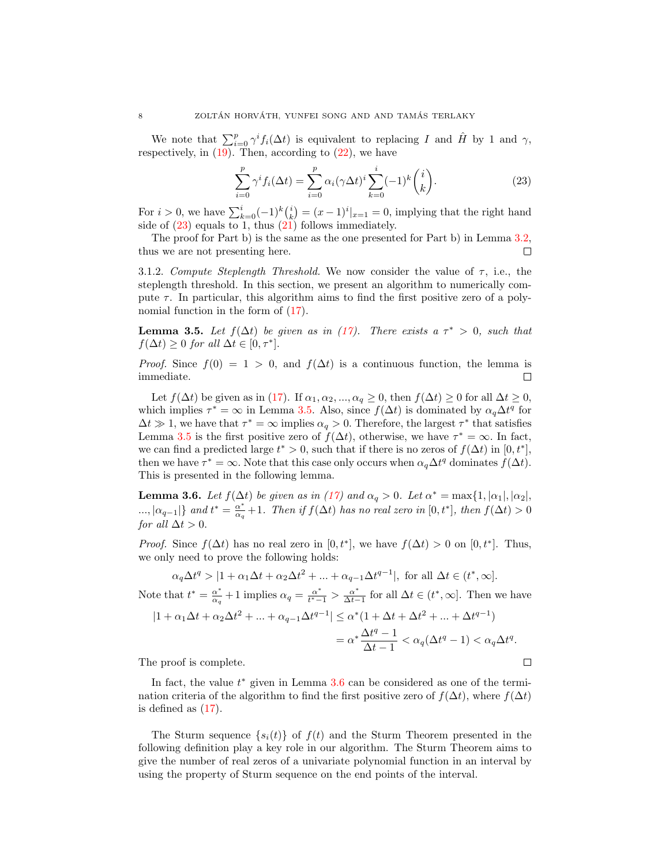We note that  $\sum_{i=0}^{p} \gamma^{i} f_{i}(\Delta t)$  is equivalent to replacing I and  $\hat{H}$  by 1 and  $\gamma$ , respectively, in  $(19)$ . Then, according to  $(22)$ , we have

<span id="page-7-0"></span>
$$
\sum_{i=0}^{p} \gamma^{i} f_{i}(\Delta t) = \sum_{i=0}^{p} \alpha_{i} (\gamma \Delta t)^{i} \sum_{k=0}^{i} (-1)^{k} {i \choose k}.
$$
 (23)

For  $i > 0$ , we have  $\sum_{k=0}^{i} (-1)^k {i \choose k} = (x-1)^i |_{x=1} = 0$ , implying that the right hand side of  $(23)$  equals to 1, thus  $(21)$  follows immediately.

The proof for Part b) is the same as the one presented for Part b) in Lemma [3.2,](#page-4-6) thus we are not presenting here.  $\Box$ 

<span id="page-7-3"></span>3.1.2. Compute Steplength Threshold. We now consider the value of  $\tau$ , i.e., the steplength threshold. In this section, we present an algorithm to numerically compute  $\tau$ . In particular, this algorithm aims to find the first positive zero of a polynomial function in the form of [\(17\)](#page-6-6).

<span id="page-7-1"></span>**Lemma 3.5.** Let  $f(\Delta t)$  be given as in [\(17\)](#page-6-6). There exists a  $\tau^* > 0$ , such that  $f(\Delta t) \geq 0$  for all  $\Delta t \in [0, \tau^*].$ 

*Proof.* Since  $f(0) = 1 > 0$ , and  $f(\Delta t)$  is a continuous function, the lemma is immediate. П

Let  $f(\Delta t)$  be given as in [\(17\)](#page-6-6). If  $\alpha_1, \alpha_2, ..., \alpha_q \geq 0$ , then  $f(\Delta t) \geq 0$  for all  $\Delta t \geq 0$ , which implies  $\tau^* = \infty$  in Lemma [3.5.](#page-7-1) Also, since  $f(\Delta t)$  is dominated by  $\alpha_q \Delta t^q$  for  $\Delta t \gg 1$ , we have that  $\tau^* = \infty$  implies  $\alpha_q > 0$ . Therefore, the largest  $\tau^*$  that satisfies Lemma [3.5](#page-7-1) is the first positive zero of  $f(\Delta t)$ , otherwise, we have  $\tau^* = \infty$ . In fact, we can find a predicted large  $t^* > 0$ , such that if there is no zeros of  $f(\Delta t)$  in  $[0, t^*]$ , then we have  $\tau^* = \infty$ . Note that this case only occurs when  $\alpha_q \Delta t^q$  dominates  $f(\Delta t)$ . This is presented in the following lemma.

<span id="page-7-2"></span>**Lemma 3.6.** Let  $f(\Delta t)$  be given as in [\(17\)](#page-6-6) and  $\alpha_q > 0$ . Let  $\alpha^* = \max\{1, |\alpha_1|, |\alpha_2|, |\alpha_3|, |\alpha_4|, |\alpha_5|, |\alpha_6|, |\alpha_7|, |\alpha_8|, |\alpha_9|, |\alpha_9|, |\alpha_9|, |\alpha_9|, |\alpha_1|, |\alpha_2|, |\alpha_4|, |\alpha_5|, |\alpha_6|, |\alpha_7|, |\alpha_8|, |\alpha_9|, |\alpha_9|, |\alpha_1|, |\alpha_2|, |\alpha_4|, |\alpha$  $\ldots, |\alpha_{q-1}|\}$  and  $t^* = \frac{\alpha^*}{\alpha_q}$  $\frac{\alpha^*}{\alpha_q}+1$ . Then if  $f(\Delta t)$  has no real zero in  $[0,t^*]$ , then  $f(\Delta t)>0$ for all  $\Delta t > 0$ .

*Proof.* Since  $f(\Delta t)$  has no real zero in  $[0, t^*]$ , we have  $f(\Delta t) > 0$  on  $[0, t^*]$ . Thus, we only need to prove the following holds:

$$
\alpha_q \Delta t^q > |1 + \alpha_1 \Delta t + \alpha_2 \Delta t^2 + \dots + \alpha_{q-1} \Delta t^{q-1}|, \text{ for all } \Delta t \in (t^*, \infty].
$$
  
Note that  $t^* = \frac{\alpha^*}{\alpha_q} + 1$  implies  $\alpha_q = \frac{\alpha^*}{t^*-1} > \frac{\alpha^*}{\Delta t - 1}$  for all  $\Delta t \in (t^*, \infty]$ . Then we have  

$$
|1 + \alpha_1 \Delta t + \alpha_2 \Delta t^2 + \dots + \alpha_{q-1} \Delta t^{q-1}| \le \alpha^*(1 + \Delta t + \Delta t^2 + \dots + \Delta t^{q-1})
$$

$$
= \alpha^* \frac{\Delta t^q - 1}{\Delta t - 1} < \alpha_q (\Delta t^q - 1) < \alpha_q \Delta t^q.
$$
The proof is complete.

The proof is complete.

In fact, the value  $t^*$  given in Lemma  $3.6$  can be considered as one of the termination criteria of the algorithm to find the first positive zero of  $f(\Delta t)$ , where  $f(\Delta t)$ is defined as  $(17)$ .

The Sturm sequence  $\{s_i(t)\}\$  of  $f(t)$  and the Sturm Theorem presented in the following definition play a key role in our algorithm. The Sturm Theorem aims to give the number of real zeros of a univariate polynomial function in an interval by using the property of Sturm sequence on the end points of the interval.

$$
\mathcal{L}_{\mathcal{L}}
$$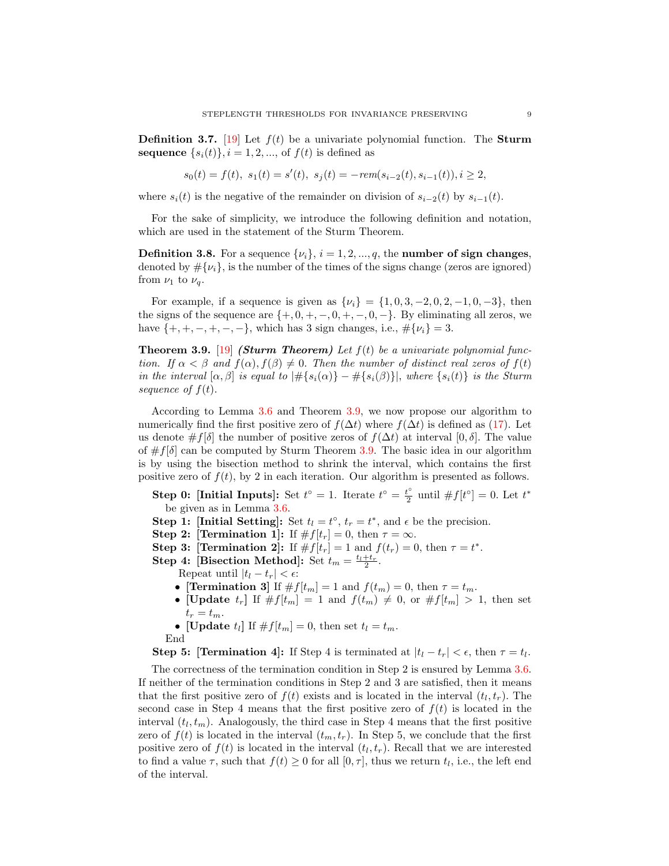**Definition 3.7.** [\[19\]](#page-15-14) Let  $f(t)$  be a univariate polynomial function. The **Sturm** sequence  $\{s_i(t)\}\$ ,  $i=1,2,\dots$ , of  $f(t)$  is defined as

$$
s_0(t) = f(t), \ s_1(t) = s'(t), \ s_j(t) = -rem(s_{i-2}(t), s_{i-1}(t)), i \ge 2,
$$

where  $s_i(t)$  is the negative of the remainder on division of  $s_{i-2}(t)$  by  $s_{i-1}(t)$ .

For the sake of simplicity, we introduce the following definition and notation, which are used in the statement of the Sturm Theorem.

**Definition 3.8.** For a sequence  $\{\nu_i\}, i = 1, 2, ..., q$ , the number of sign changes, denoted by  $\#\{\nu_i\}$ , is the number of the times of the signs change (zeros are ignored) from  $\nu_1$  to  $\nu_q$ .

For example, if a sequence is given as  $\{\nu_i\} = \{1, 0, 3, -2, 0, 2, -1, 0, -3\}$ , then the signs of the sequence are  $\{+, 0, +, -, 0, +, -, 0, -\}$ . By eliminating all zeros, we have  $\{+, +, -, +, -, -\}$ , which has 3 sign changes, i.e.,  $\#\{\nu_i\} = 3$ .

<span id="page-8-0"></span>**Theorem 3.9.** [\[19\]](#page-15-14) (Sturm Theorem) Let  $f(t)$  be a univariate polynomial function. If  $\alpha < \beta$  and  $f(\alpha)$ ,  $f(\beta) \neq 0$ . Then the number of distinct real zeros of  $f(t)$ in the interval  $[\alpha, \beta]$  is equal to  $|\# \{s_i(\alpha)\} - \# \{s_i(\beta)\}\|$ , where  $\{s_i(t)\}\$ is the Sturm sequence of  $f(t)$ .

According to Lemma [3.6](#page-7-2) and Theorem [3.9,](#page-8-0) we now propose our algorithm to numerically find the first positive zero of  $f(\Delta t)$  where  $f(\Delta t)$  is defined as [\(17\)](#page-6-6). Let us denote  $\#f[\delta]$  the number of positive zeros of  $f(\Delta t)$  at interval  $[0, \delta]$ . The value of  $\#f[\delta]$  can be computed by Sturm Theorem [3.9.](#page-8-0) The basic idea in our algorithm is by using the bisection method to shrink the interval, which contains the first positive zero of  $f(t)$ , by 2 in each iteration. Our algorithm is presented as follows.

Step 0: [Initial Inputs]: Set  $t^{\circ} = 1$ . Iterate  $t^{\circ} = \frac{t^{\circ}}{2}$  $u_2^{\circ}$  until  $\# f[t^{\circ}] = 0$ . Let  $t^*$ be given as in Lemma [3.6.](#page-7-2)

- **Step 1: [Initial Setting]:** Set  $t_l = t^{\circ}$ ,  $t_r = t^*$ , and  $\epsilon$  be the precision.
- Step 2: [Termination 1]: If  $\#f[t_r] = 0$ , then  $\tau = \infty$ .
- Step 3: [Termination 2]: If  $\# f[t_r] = 1$  and  $f(t_r) = 0$ , then  $\tau = t^*$ .
- **Step 4: [Bisection Method]:** Set  $t_m = \frac{t_l + t_r}{2}$ .
	- Repeat until  $|t_l t_r| < \epsilon$ :
	- [Termination 3] If  $\#f[t_m] = 1$  and  $f(t_m) = 0$ , then  $\tau = t_m$ .
	- [Update  $t_r$ ] If  $\#f[t_m] = 1$  and  $f(t_m) \neq 0$ , or  $\#f[t_m] > 1$ , then set  $t_r = t_m$ .
	- [Update  $t_l$ ] If  $\# f[t_m] = 0$ , then set  $t_l = t_m$ . End

**Step 5: [Termination 4]:** If Step 4 is terminated at  $|t_l - t_r| < \epsilon$ , then  $\tau = t_l$ .

The correctness of the termination condition in Step 2 is ensured by Lemma [3.6.](#page-7-2) If neither of the termination conditions in Step 2 and 3 are satisfied, then it means that the first positive zero of  $f(t)$  exists and is located in the interval  $(t_l, t_r)$ . The second case in Step 4 means that the first positive zero of  $f(t)$  is located in the interval  $(t_l, t_m)$ . Analogously, the third case in Step 4 means that the first positive zero of  $f(t)$  is located in the interval  $(t_m, t_r)$ . In Step 5, we conclude that the first positive zero of  $f(t)$  is located in the interval  $(t_l, t_r)$ . Recall that we are interested to find a value  $\tau$ , such that  $f(t) \geq 0$  for all  $[0, \tau]$ , thus we return  $t_l$ , i.e., the left end of the interval.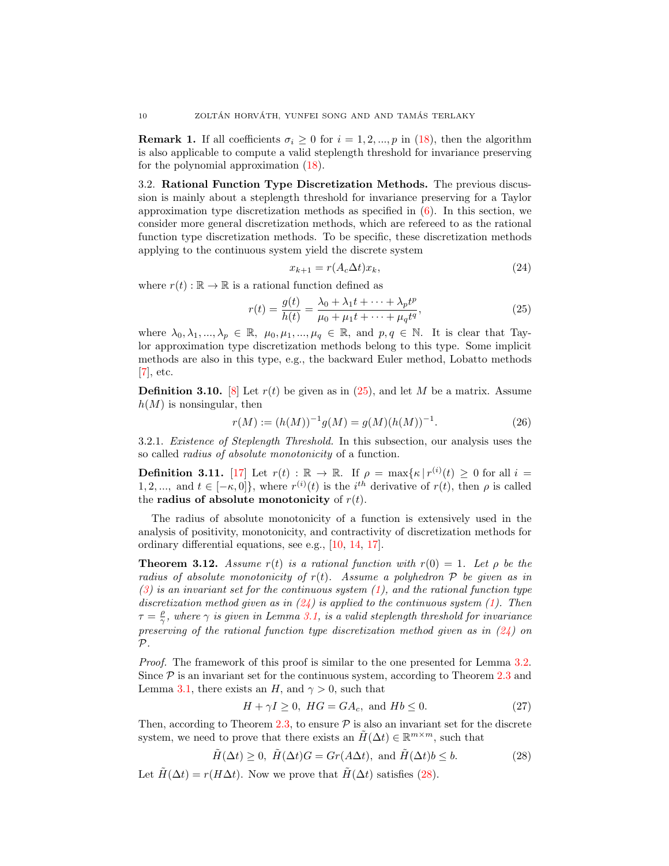**Remark 1.** If all coefficients  $\sigma_i \geq 0$  for  $i = 1, 2, ..., p$  in [\(18\)](#page-6-1), then the algorithm is also applicable to compute a valid steplength threshold for invariance preserving for the polynomial approximation [\(18\)](#page-6-1).

<span id="page-9-0"></span>3.2. Rational Function Type Discretization Methods. The previous discussion is mainly about a steplength threshold for invariance preserving for a Taylor approximation type discretization methods as specified in [\(6\)](#page-3-3). In this section, we consider more general discretization methods, which are refereed to as the rational function type discretization methods. To be specific, these discretization methods applying to the continuous system yield the discrete system

<span id="page-9-2"></span>
$$
x_{k+1} = r(A_c \Delta t) x_k,\tag{24}
$$

where  $r(t): \mathbb{R} \to \mathbb{R}$  is a rational function defined as

<span id="page-9-1"></span>
$$
r(t) = \frac{g(t)}{h(t)} = \frac{\lambda_0 + \lambda_1 t + \dots + \lambda_p t^p}{\mu_0 + \mu_1 t + \dots + \mu_q t^q},
$$
\n(25)

where  $\lambda_0, \lambda_1, ..., \lambda_p \in \mathbb{R}, \mu_0, \mu_1, ..., \mu_q \in \mathbb{R}, \text{ and } p, q \in \mathbb{N}.$  It is clear that Taylor approximation type discretization methods belong to this type. Some implicit methods are also in this type, e.g., the backward Euler method, Lobatto methods  $[7]$ , etc.

<span id="page-9-5"></span>**Definition 3.10.** [\[8\]](#page-15-16) Let  $r(t)$  be given as in [\(25\)](#page-9-1), and let M be a matrix. Assume  $h(M)$  is nonsingular, then

$$
r(M) := (h(M))^{-1}g(M) = g(M)(h(M))^{-1}.
$$
\n(26)

3.2.1. Existence of Steplength Threshold. In this subsection, our analysis uses the so called radius of absolute monotonicity of a function.

**Definition 3.11.** [\[17\]](#page-15-17) Let  $r(t) : \mathbb{R} \to \mathbb{R}$ . If  $\rho = \max\{\kappa | r^{(i)}(t) \geq 0 \text{ for all } i =$ 1, 2, ..., and  $t \in [-\kappa, 0]$ , where  $r^{(i)}(t)$  is the i<sup>th</sup> derivative of  $r(t)$ , then  $\rho$  is called the radius of absolute monotonicity of  $r(t)$ .

The radius of absolute monotonicity of a function is extensively used in the analysis of positivity, monotonicity, and contractivity of discretization methods for ordinary differential equations, see e.g., [\[10,](#page-15-9) [14,](#page-15-18) [17\]](#page-15-17).

<span id="page-9-6"></span>**Theorem 3.12.** Assume r(t) is a rational function with  $r(0) = 1$ . Let  $\rho$  be the radius of absolute monotonicity of  $r(t)$ . Assume a polyhedron  $\mathcal P$  be given as in  $(3)$  is an invariant set for the continuous system  $(1)$ , and the rational function type discretization method given as in  $(24)$  is applied to the continuous system [\(1\)](#page-0-0). Then  $\tau = \frac{\rho}{\gamma}$ , where  $\gamma$  is given in Lemma [3.1,](#page-4-0) is a valid steplength threshold for invariance preserving of the rational function type discretization method given as in  $(24)$  on  $\mathcal{P}$ .

Proof. The framework of this proof is similar to the one presented for Lemma [3.2.](#page-4-6) Since  $P$  is an invariant set for the continuous system, according to Theorem [2.3](#page-2-1) and Lemma [3.1,](#page-4-0) there exists an H, and  $\gamma > 0$ , such that

<span id="page-9-4"></span>
$$
H + \gamma I \ge 0, \ HG = GA_c, \text{ and } Hb \le 0.
$$
 (27)

Then, according to Theorem [2.3,](#page-2-1) to ensure  $P$  is also an invariant set for the discrete system, we need to prove that there exists an  $\tilde{H}(\Delta t) \in \mathbb{R}^{m \times m}$ , such that

<span id="page-9-3"></span>
$$
\tilde{H}(\Delta t) \ge 0, \ \tilde{H}(\Delta t)G = Gr(A\Delta t), \text{ and } \tilde{H}(\Delta t)b \le b. \tag{28}
$$

Let  $\tilde{H}(\Delta t) = r(H\Delta t)$ . Now we prove that  $\tilde{H}(\Delta t)$  satisfies [\(28\)](#page-9-3).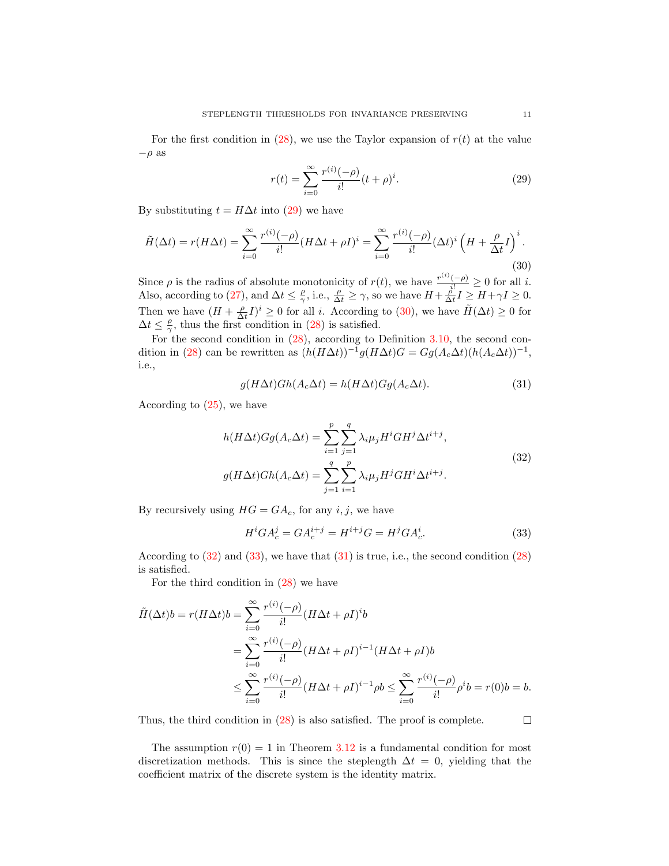For the first condition in [\(28\)](#page-9-3), we use the Taylor expansion of  $r(t)$  at the value  $-\rho$  as

<span id="page-10-0"></span>
$$
r(t) = \sum_{i=0}^{\infty} \frac{r^{(i)}(-\rho)}{i!} (t+\rho)^i.
$$
 (29)

By substituting  $t = H\Delta t$  into [\(29\)](#page-10-0) we have

<span id="page-10-1"></span>
$$
\tilde{H}(\Delta t) = r(H\Delta t) = \sum_{i=0}^{\infty} \frac{r^{(i)}(-\rho)}{i!} (H\Delta t + \rho I)^i = \sum_{i=0}^{\infty} \frac{r^{(i)}(-\rho)}{i!} (\Delta t)^i \left(H + \frac{\rho}{\Delta t} I\right)^i.
$$
\n(30)

Since  $\rho$  is the radius of absolute monotonicity of  $r(t)$ , we have  $\frac{r^{(i)}(-\rho)}{i!} \geq 0$  for all i. Also, according to [\(27\)](#page-9-4), and  $\Delta t \leq \frac{\rho}{\gamma}$ , i.e.,  $\frac{\rho}{\Delta t} \geq \gamma$ , so we have  $H + \frac{\rho}{\Delta t} I \geq H + \gamma I \geq 0$ . Then we have  $(H + \frac{\rho}{\Delta t}I)^i \geq 0$  for all *i*. According to [\(30\)](#page-10-1), we have  $\tilde{H}(\Delta t) \geq 0$  for  $\Delta t \leq \frac{\rho}{\gamma}$ , thus the first condition in [\(28\)](#page-9-3) is satisfied.

For the second condition in [\(28\)](#page-9-3), according to Definition [3.10,](#page-9-5) the second con-dition in [\(28\)](#page-9-3) can be rewritten as  $(h(H\Delta t))^{-1}g(H\Delta t)G = Gg(A_c\Delta t)(h(A_c\Delta t))^{-1}$ , i.e.,

<span id="page-10-4"></span>
$$
g(H\Delta t)Gh(A_c\Delta t) = h(H\Delta t)Gg(A_c\Delta t). \tag{31}
$$

<span id="page-10-2"></span>According to [\(25\)](#page-9-1), we have

$$
h(H\Delta t)Gg(A_c\Delta t) = \sum_{i=1}^{p} \sum_{j=1}^{q} \lambda_i \mu_j H^i G H^j \Delta t^{i+j},
$$
  

$$
g(H\Delta t)Gh(A_c\Delta t) = \sum_{j=1}^{q} \sum_{i=1}^{p} \lambda_i \mu_j H^j G H^i \Delta t^{i+j}.
$$
 (32)

By recursively using  $HG = GA_c$ , for any *i*, *j*, we have

<span id="page-10-3"></span>
$$
H^{i}GA_{c}^{j} = GA_{c}^{i+j} = H^{i+j}G = H^{j}GA_{c}^{i}.
$$
\n(33)

According to  $(32)$  and  $(33)$ , we have that  $(31)$  is true, i.e., the second condition  $(28)$ is satisfied.

For the third condition in [\(28\)](#page-9-3) we have

$$
\tilde{H}(\Delta t)b = r(H\Delta t)b = \sum_{i=0}^{\infty} \frac{r^{(i)}(-\rho)}{i!} (H\Delta t + \rho I)^{i}b
$$
\n
$$
= \sum_{i=0}^{\infty} \frac{r^{(i)}(-\rho)}{i!} (H\Delta t + \rho I)^{i-1} (H\Delta t + \rho I)b
$$
\n
$$
\leq \sum_{i=0}^{\infty} \frac{r^{(i)}(-\rho)}{i!} (H\Delta t + \rho I)^{i-1} \rho b \leq \sum_{i=0}^{\infty} \frac{r^{(i)}(-\rho)}{i!} \rho^{i} b = r(0)b = b.
$$

Thus, the third condition in [\(28\)](#page-9-3) is also satisfied. The proof is complete.

The assumption  $r(0) = 1$  in Theorem [3.12](#page-9-6) is a fundamental condition for most discretization methods. This is since the steplength  $\Delta t = 0$ , yielding that the coefficient matrix of the discrete system is the identity matrix.

 $\Box$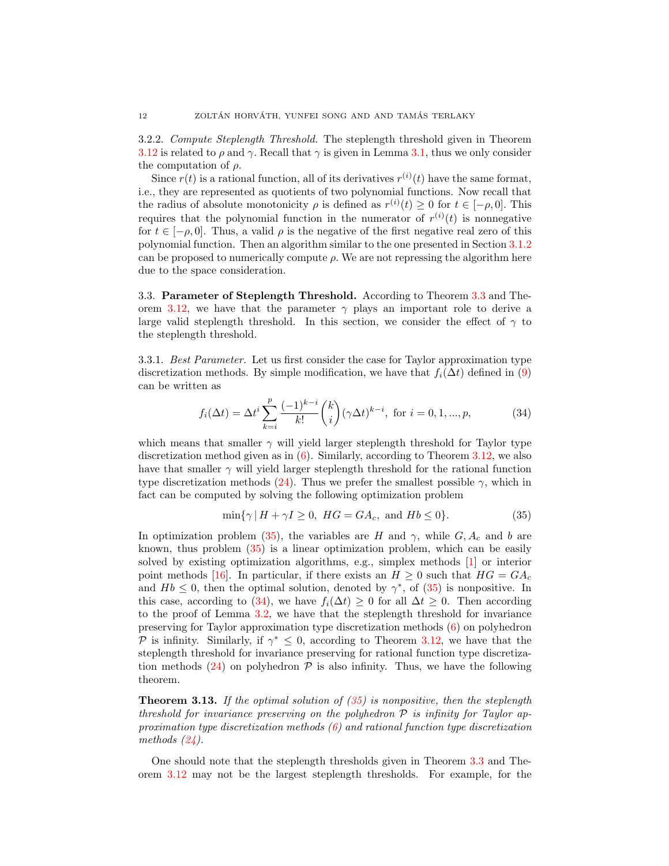3.2.2. Compute Steplength Threshold. The steplength threshold given in Theorem [3.12](#page-9-6) is related to  $\rho$  and  $\gamma$ . Recall that  $\gamma$  is given in Lemma [3.1,](#page-4-0) thus we only consider the computation of  $\rho$ .

Since  $r(t)$  is a rational function, all of its derivatives  $r^{(i)}(t)$  have the same format, i.e., they are represented as quotients of two polynomial functions. Now recall that the radius of absolute monotonicity  $\rho$  is defined as  $r^{(i)}(t) \geq 0$  for  $t \in [-\rho, 0]$ . This requires that the polynomial function in the numerator of  $r^{(i)}(t)$  is nonnegative for  $t \in [-\rho, 0]$ . Thus, a valid  $\rho$  is the negative of the first negative real zero of this polynomial function. Then an algorithm similar to the one presented in Section [3.1.2](#page-7-3) can be proposed to numerically compute  $\rho$ . We are not repressing the algorithm here due to the space consideration.

3.3. Parameter of Steplength Threshold. According to Theorem [3.3](#page-6-0) and The-orem [3.12,](#page-9-6) we have that the parameter  $\gamma$  plays an important role to derive a large valid steplength threshold. In this section, we consider the effect of  $\gamma$  to the steplength threshold.

3.3.1. Best Parameter. Let us first consider the case for Taylor approximation type discretization methods. By simple modification, we have that  $f_i(\Delta t)$  defined in [\(9\)](#page-4-3) can be written as

<span id="page-11-1"></span>
$$
f_i(\Delta t) = \Delta t^i \sum_{k=i}^p \frac{(-1)^{k-i}}{k!} {k \choose i} (\gamma \Delta t)^{k-i}, \text{ for } i = 0, 1, ..., p,
$$
 (34)

which means that smaller  $\gamma$  will yield larger steplength threshold for Taylor type discretization method given as in [\(6\)](#page-3-3). Similarly, according to Theorem [3.12,](#page-9-6) we also have that smaller  $\gamma$  will yield larger steplength threshold for the rational function type discretization methods [\(24\)](#page-9-2). Thus we prefer the smallest possible  $\gamma$ , which in fact can be computed by solving the following optimization problem

<span id="page-11-0"></span>
$$
\min\{\gamma \,|\, H + \gamma I \ge 0, \ HG = GA_c, \text{ and } Hb \le 0\}.\tag{35}
$$

In optimization problem [\(35\)](#page-11-0), the variables are H and  $\gamma$ , while  $G, A_c$  and b are known, thus problem [\(35\)](#page-11-0) is a linear optimization problem, which can be easily solved by existing optimization algorithms, e.g., simplex methods [\[1\]](#page-15-19) or interior point methods [\[16\]](#page-15-12). In particular, if there exists an  $H \geq 0$  such that  $HG = GA_c$ and  $Hb \leq 0$ , then the optimal solution, denoted by  $\gamma^*$ , of [\(35\)](#page-11-0) is nonpositive. In this case, according to [\(34\)](#page-11-1), we have  $f_i(\Delta t) \geq 0$  for all  $\Delta t \geq 0$ . Then according to the proof of Lemma [3.2,](#page-4-6) we have that the steplength threshold for invariance preserving for Taylor approximation type discretization methods [\(6\)](#page-3-3) on polyhedron P is infinity. Similarly, if  $\gamma^* \leq 0$ , according to Theorem [3.12,](#page-9-6) we have that the steplength threshold for invariance preserving for rational function type discretiza-tion methods [\(24\)](#page-9-2) on polyhedron  $P$  is also infinity. Thus, we have the following theorem.

**Theorem 3.13.** If the optimal solution of  $(35)$  is nonpositive, then the steplength threshold for invariance preserving on the polyhedron  $P$  is infinity for Taylor approximation type discretization methods  $(6)$  and rational function type discretization methods  $(24)$ .

One should note that the steplength thresholds given in Theorem [3.3](#page-6-0) and Theorem [3.12](#page-9-6) may not be the largest steplength thresholds. For example, for the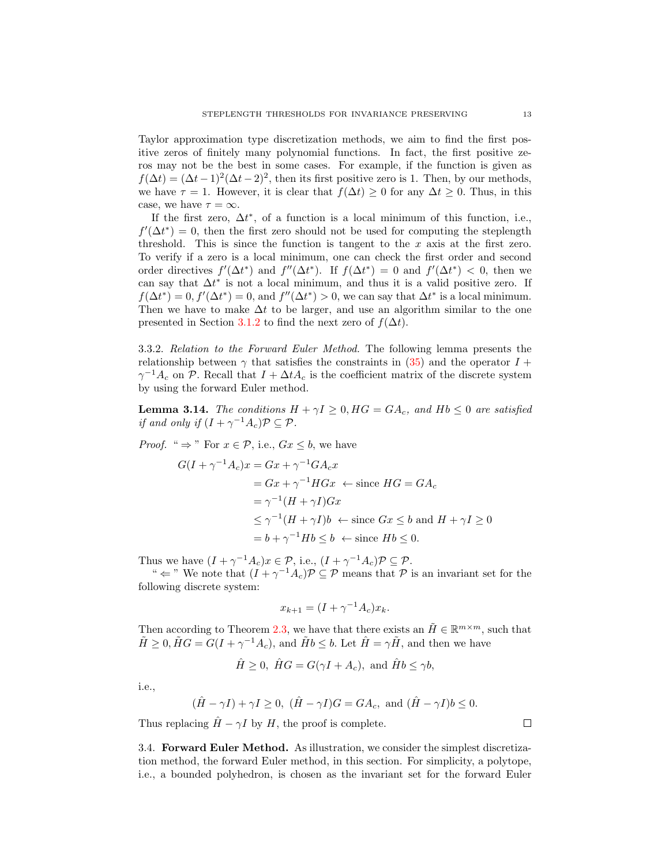Taylor approximation type discretization methods, we aim to find the first positive zeros of finitely many polynomial functions. In fact, the first positive zeros may not be the best in some cases. For example, if the function is given as  $f(\Delta t) = (\Delta t - 1)^2 (\Delta t - 2)^2$ , then its first positive zero is 1. Then, by our methods, we have  $\tau = 1$ . However, it is clear that  $f(\Delta t) \geq 0$  for any  $\Delta t \geq 0$ . Thus, in this case, we have  $\tau = \infty$ .

If the first zero,  $\Delta t^*$ , of a function is a local minimum of this function, i.e.,  $f'(\Delta t^*) = 0$ , then the first zero should not be used for computing the steplength threshold. This is since the function is tangent to the  $x$  axis at the first zero. To verify if a zero is a local minimum, one can check the first order and second order directives  $f'(\Delta t^*)$  and  $f''(\Delta t^*)$ . If  $f(\Delta t^*) = 0$  and  $f'(\Delta t^*) < 0$ , then we can say that  $\Delta t^*$  is not a local minimum, and thus it is a valid positive zero. If  $f(\Delta t^*) = 0, f'(\Delta t^*) = 0$ , and  $f''(\Delta t^*) > 0$ , we can say that  $\Delta t^*$  is a local minimum. Then we have to make  $\Delta t$  to be larger, and use an algorithm similar to the one presented in Section [3.1.2](#page-7-3) to find the next zero of  $f(\Delta t)$ .

3.3.2. Relation to the Forward Euler Method. The following lemma presents the relationship between  $\gamma$  that satisfies the constraints in [\(35\)](#page-11-0) and the operator  $I +$  $\gamma^{-1}A_c$  on P. Recall that  $I + \Delta t A_c$  is the coefficient matrix of the discrete system by using the forward Euler method.

**Lemma 3.14.** The conditions  $H + \gamma I > 0$ ,  $HG = GA_c$ , and  $Hb < 0$  are satisfied if and only if  $(I + \gamma^{-1}A_c)\mathcal{P} \subseteq \mathcal{P}$ .

*Proof.* "  $\Rightarrow$  " For  $x \in \mathcal{P}$ , i.e.,  $Gx \leq b$ , we have

$$
G(I + \gamma^{-1}A_c)x = Gx + \gamma^{-1}GA_cx
$$
  
=  $Gx + \gamma^{-1}HGx \leftarrow \text{ since } HG = GA_c$   
=  $\gamma^{-1}(H + \gamma I)Gx$   
 $\leq \gamma^{-1}(H + \gamma I)b \leftarrow \text{ since } Gx \leq b \text{ and } H + \gamma I \geq 0$   
=  $b + \gamma^{-1}Hb \leq b \leftarrow \text{ since } Hb \leq 0$ .

Thus we have  $(I + \gamma^{-1} A_c)x \in \mathcal{P}$ , i.e.,  $(I + \gamma^{-1} A_c)\mathcal{P} \subseteq \mathcal{P}$ .

"  $\Leftarrow$ " We note that  $(I + \gamma^{-1} A_c) \mathcal{P} \subseteq \mathcal{P}$  means that  $\mathcal{P}$  is an invariant set for the following discrete system:

$$
x_{k+1} = (I + \gamma^{-1}A_c)x_k.
$$

Then according to Theorem [2.3,](#page-2-1) we have that there exists an  $\tilde{H} \in \mathbb{R}^{m \times m}$ , such that  $\tilde{H} \geq 0$ ,  $\tilde{H}G = G(I + \gamma^{-1}A_c)$ , and  $\tilde{H}b \leq b$ . Let  $\hat{H} = \gamma \tilde{H}$ , and then we have

$$
\hat{H} \ge 0, \ \hat{H}G = G(\gamma I + A_c), \text{ and } \hat{H}b \le \gamma b,
$$

i.e.,

$$
(\hat{H} - \gamma I) + \gamma I \ge 0
$$
,  $(\hat{H} - \gamma I)G = GA_c$ , and  $(\hat{H} - \gamma I)b \le 0$ .

Thus replacing  $\hat{H} - \gamma I$  by H, the proof is complete.

3.4. Forward Euler Method. As illustration, we consider the simplest discretization method, the forward Euler method, in this section. For simplicity, a polytope, i.e., a bounded polyhedron, is chosen as the invariant set for the forward Euler

 $\Box$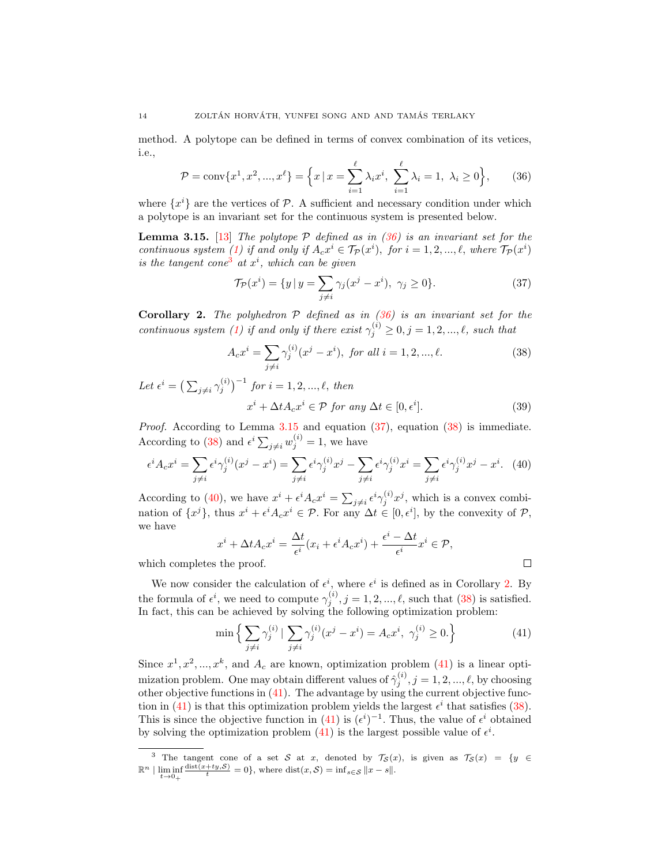method. A polytope can be defined in terms of convex combination of its vetices, i.e.,

<span id="page-13-0"></span>
$$
\mathcal{P} = \text{conv}\{x^1, x^2, ..., x^\ell\} = \left\{x \mid x = \sum_{i=1}^{\ell} \lambda_i x^i, \sum_{i=1}^{\ell} \lambda_i = 1, \lambda_i \ge 0\right\},\tag{36}
$$

where  $\{x^i\}$  are the vertices of  $P$ . A sufficient and necessary condition under which a polytope is an invariant set for the continuous system is presented below.

<span id="page-13-2"></span>**Lemma 3.15.** [\[13\]](#page-15-7) The polytope  $P$  defined as in [\(36\)](#page-13-0) is an invariant set for the continuous system [\(1\)](#page-0-0) if and only if  $A_c x^i \in \mathcal{T}_{\mathcal{P}}(x^i)$ , for  $i = 1, 2, ..., \ell$ , where  $\mathcal{T}_{\mathcal{P}}(x^i)$ is the tangent cone<sup>[3](#page-13-1)</sup> at  $x^i$ , which can be given

<span id="page-13-3"></span>
$$
\mathcal{T}_{\mathcal{P}}(x^i) = \{ y \, | \, y = \sum_{j \neq i} \gamma_j (x^j - x^i), \ \gamma_j \ge 0 \}. \tag{37}
$$

<span id="page-13-6"></span>**Corollary 2.** The polyhedron  $P$  defined as in [\(36\)](#page-13-0) is an invariant set for the continuous system [\(1\)](#page-0-0) if and only if there exist  $\gamma_j^{(i)} \geq 0, j = 1, 2, ..., \ell$ , such that

<span id="page-13-4"></span>
$$
A_c x^i = \sum_{j \neq i} \gamma_j^{(i)} (x^j - x^i), \text{ for all } i = 1, 2, ..., \ell.
$$
 (38)

Let  $\epsilon^{i} = (\sum_{j\neq i} \gamma_{j}^{(i)})^{-1}$  for  $i = 1, 2, ..., \ell$ , then  $x^i + \Delta t A_c x^i \in \mathcal{P}$  for any  $\Delta t \in [0, \epsilon^i]$ 

Proof. According to Lemma [3.15](#page-13-2) and equation [\(37\)](#page-13-3), equation [\(38\)](#page-13-4) is immediate. According to [\(38\)](#page-13-4) and  $\epsilon^i \sum_{j \neq i} w_j^{(i)} = 1$ , we have

<span id="page-13-5"></span>
$$
\epsilon^i A_c x^i = \sum_{j \neq i} \epsilon^i \gamma_j^{(i)} (x^j - x^i) = \sum_{j \neq i} \epsilon^i \gamma_j^{(i)} x^j - \sum_{j \neq i} \epsilon^i \gamma_j^{(i)} x^i = \sum_{j \neq i} \epsilon^i \gamma_j^{(i)} x^j - x^i. \tag{40}
$$

According to [\(40\)](#page-13-5), we have  $x^i + \epsilon^i A_c x^i = \sum_{j \neq i} \epsilon^i \gamma_j^{(i)} x^j$ , which is a convex combination of  $\{x^j\}$ , thus  $x^i + \epsilon^i A_c x^i \in \mathcal{P}$ . For any  $\Delta t \in [0, \epsilon^i]$ , by the convexity of  $\mathcal{P}$ , we have

$$
x^{i} + \Delta t A_{c} x^{i} = \frac{\Delta t}{\epsilon^{i}} (x_{i} + \epsilon^{i} A_{c} x^{i}) + \frac{\epsilon^{i} - \Delta t}{\epsilon^{i}} x^{i} \in \mathcal{P},
$$

which completes the proof.

We now consider the calculation of  $\epsilon^i$ , where  $\epsilon^i$  is defined as in Corollary [2.](#page-13-6) By the formula of  $\epsilon^i$ , we need to compute  $\gamma_j^{(i)}$ ,  $j = 1, 2, ..., \ell$ , such that [\(38\)](#page-13-4) is satisfied. In fact, this can be achieved by solving the following optimization problem:

<span id="page-13-7"></span>
$$
\min \left\{ \sum_{j \neq i} \gamma_j^{(i)} \mid \sum_{j \neq i} \gamma_j^{(i)} (x^j - x^i) = A_c x^i, \ \gamma_j^{(i)} \ge 0. \right\} \tag{41}
$$

Since  $x^1, x^2, ..., x^k$ , and  $A_c$  are known, optimization problem [\(41\)](#page-13-7) is a linear optimization problem. One may obtain different values of  $\hat{\gamma}_j^{(i)}$ ,  $j = 1, 2, ..., \ell$ , by choosing other objective functions in [\(41\)](#page-13-7). The advantage by using the current objective func-tion in [\(41\)](#page-13-7) is that this optimization problem yields the largest  $\epsilon^i$  that satisfies [\(38\)](#page-13-4). This is since the objective function in [\(41\)](#page-13-7) is  $(\epsilon^i)^{-1}$ . Thus, the value of  $\epsilon^i$  obtained by solving the optimization problem [\(41\)](#page-13-7) is the largest possible value of  $\epsilon^i$ .

$$
\sqcup
$$

 $(39)$ 

<span id="page-13-1"></span><sup>&</sup>lt;sup>3</sup> The tangent cone of a set S at x, denoted by  $\mathcal{T}_{\mathcal{S}}(x)$ , is given as  $\mathcal{T}_{\mathcal{S}}(x) = \{y \in$  $\mathbb{R}^n$  |  $\liminf_{t\to 0_+}$  $\frac{\text{dist}(x+ty,\mathcal{S})}{t} = 0$ , where  $\text{dist}(x,\mathcal{S}) = \inf_{s \in \mathcal{S}} ||x - s||$ .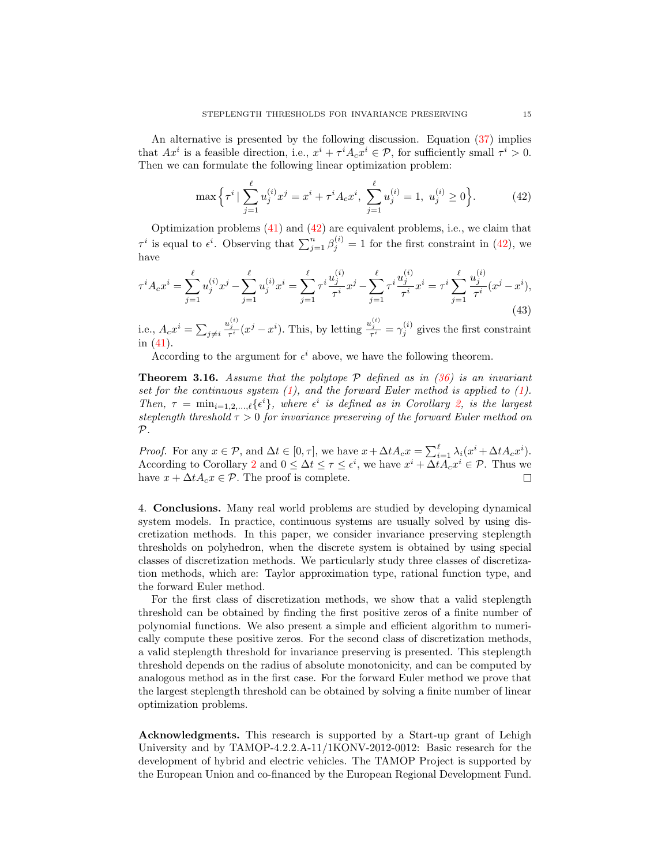An alternative is presented by the following discussion. Equation [\(37\)](#page-13-3) implies that  $Ax^i$  is a feasible direction, i.e.,  $x^i + \tau^i A_c x^i \in \mathcal{P}$ , for sufficiently small  $\tau^i > 0$ . Then we can formulate the following linear optimization problem:

<span id="page-14-1"></span>
$$
\max\left\{\tau^i \mid \sum_{j=1}^{\ell} u_j^{(i)} x^j = x^i + \tau^i A_c x^i, \sum_{j=1}^{\ell} u_j^{(i)} = 1, u_j^{(i)} \ge 0\right\}.
$$
 (42)

Optimization problems [\(41\)](#page-13-7) and [\(42\)](#page-14-1) are equivalent problems, i.e., we claim that  $\tau^i$  is equal to  $\epsilon^i$ . Observing that  $\sum_{j=1}^n \beta_j^{(i)} = 1$  for the first constraint in [\(42\)](#page-14-1), we have

$$
\tau^i A_c x^i = \sum_{j=1}^\ell u_j^{(i)} x^j - \sum_{j=1}^\ell u_j^{(i)} x^i = \sum_{j=1}^\ell \tau^i \frac{u_j^{(i)}}{\tau^i} x^j - \sum_{j=1}^\ell \tau^i \frac{u_j^{(i)}}{\tau^i} x^i = \tau^i \sum_{j=1}^\ell \frac{u_j^{(i)}}{\tau^i} (x^j - x^i),\tag{43}
$$

i.e.,  $A_c x^i = \sum_{j \neq i}$  $\frac{u_j^{(i)}}{\tau^i}(x^j - x^i)$ . This, by letting  $\frac{u_j^{(i)}}{\tau^i} = \gamma_j^{(i)}$  gives the first constraint in [\(41\)](#page-13-7).

According to the argument for  $\epsilon^i$  above, we have the following theorem.

**Theorem 3.16.** Assume that the polytope  $P$  defined as in [\(36\)](#page-13-0) is an invariant set for the continuous system  $(1)$ , and the forward Euler method is applied to  $(1)$ . Then,  $\tau = \min_{i=1,2,\ldots,\ell} {\{\epsilon^i\}}$  $\tau = \min_{i=1,2,\ldots,\ell} {\{\epsilon^i\}}$  $\tau = \min_{i=1,2,\ldots,\ell} {\{\epsilon^i\}}$ , where  $\epsilon^i$  is defined as in Corollary 2, is the largest steplength threshold  $\tau > 0$  for invariance preserving of the forward Euler method on  $\mathcal{P}$ .

*Proof.* For any  $x \in \mathcal{P}$ , and  $\Delta t \in [0, \tau]$ , we have  $x + \Delta t A_c x = \sum_{i=1}^{\ell} \lambda_i (x^i + \Delta t A_c x^i)$ . According to Corollary [2](#page-13-6) and  $0 \leq \Delta t \leq \tau \leq \epsilon^i$ , we have  $x^i + \Delta t A_c x^i \in \mathcal{P}$ . Thus we have  $x + \Delta t A_c x \in \mathcal{P}$ . The proof is complete. П

<span id="page-14-0"></span>4. Conclusions. Many real world problems are studied by developing dynamical system models. In practice, continuous systems are usually solved by using discretization methods. In this paper, we consider invariance preserving steplength thresholds on polyhedron, when the discrete system is obtained by using special classes of discretization methods. We particularly study three classes of discretization methods, which are: Taylor approximation type, rational function type, and the forward Euler method.

For the first class of discretization methods, we show that a valid steplength threshold can be obtained by finding the first positive zeros of a finite number of polynomial functions. We also present a simple and efficient algorithm to numerically compute these positive zeros. For the second class of discretization methods, a valid steplength threshold for invariance preserving is presented. This steplength threshold depends on the radius of absolute monotonicity, and can be computed by analogous method as in the first case. For the forward Euler method we prove that the largest steplength threshold can be obtained by solving a finite number of linear optimization problems.

Acknowledgments. This research is supported by a Start-up grant of Lehigh University and by TAMOP-4.2.2.A-11/1KONV-2012-0012: Basic research for the development of hybrid and electric vehicles. The TAMOP Project is supported by the European Union and co-financed by the European Regional Development Fund.